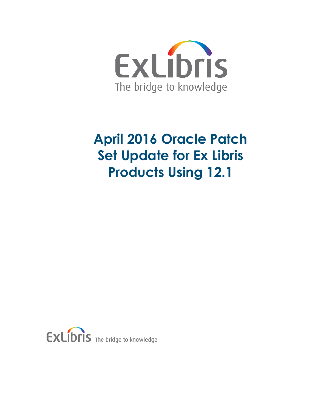

## **April 2016 Oracle Patch Set Update for Ex Libris Products Using 12.1**

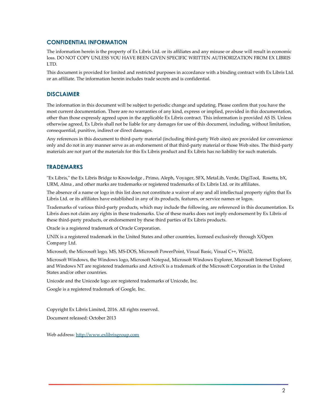#### **CONFIDENTIAL INFORMATION**

The information herein is the property of Ex Libris Ltd. or its affiliates and any misuse or abuse will result in economic loss. DO NOT COPY UNLESS YOU HAVE BEEN GIVEN SPECIFIC WRITTEN AUTHORIZATION FROM EX LIBRIS LTD.

This document is provided for limited and restricted purposes in accordance with a binding contract with Ex Libris Ltd. or an affiliate. The information herein includes trade secrets and is confidential.

#### **DISCLAIMER**

The information in this document will be subject to periodic change and updating. Please confirm that you have the most current documentation. There are no warranties of any kind, express or implied, provided in this documentation, other than those expressly agreed upon in the applicable Ex Libris contract. This information is provided AS IS. Unless otherwise agreed, Ex Libris shall not be liable for any damages for use of this document, including, without limitation, consequential, punitive, indirect or direct damages.

Any references in this document to third-party material (including third-party Web sites) are provided for convenience only and do not in any manner serve as an endorsement of that third-party material or those Web sites. The third-party materials are not part of the materials for this Ex Libris product and Ex Libris has no liability for such materials.

#### **TRADEMARKS**

"Ex Libris," the Ex Libris Bridge to Knowledge , Primo, Aleph, Voyager, SFX, MetaLib, Verde, DigiTool, Rosetta, bX, URM, Alma , and other marks are trademarks or registered trademarks of Ex Libris Ltd. or its affiliates.

The absence of a name or logo in this list does not constitute a waiver of any and all intellectual property rights that Ex Libris Ltd. or its affiliates have established in any of its products, features, or service names or logos.

Trademarks of various third-party products, which may include the following, are referenced in this documentation. Ex Libris does not claim any rights in these trademarks. Use of these marks does not imply endorsement by Ex Libris of these third-party products, or endorsement by these third parties of Ex Libris products.

Oracle is a registered trademark of Oracle Corporation.

UNIX is a registered trademark in the United States and other countries, licensed exclusively through X/Open Company Ltd.

Microsoft, the Microsoft logo, MS, MS-DOS, Microsoft PowerPoint, Visual Basic, Visual C++, Win32,

Microsoft Windows, the Windows logo, Microsoft Notepad, Microsoft Windows Explorer, Microsoft Internet Explorer, and Windows NT are registered trademarks and ActiveX is a trademark of the Microsoft Corporation in the United States and/or other countries.

Unicode and the Unicode logo are registered trademarks of Unicode, Inc.

Google is a registered trademark of Google, Inc.

Copyright Ex Libris Limited, 2016. All rights reserved.

Document released: October 2013

Web address: [http://www.exlibrisgroup.com](http://www.exlibrisgroup.com/)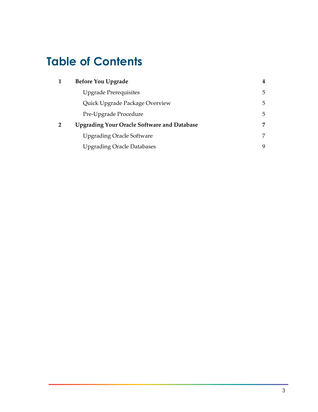## **Table of Contents**

| $\mathbf 1$    | <b>Before You Upgrade</b>                          | 4 |
|----------------|----------------------------------------------------|---|
|                | <b>Upgrade Prerequisites</b>                       | 5 |
|                | Quick Upgrade Package Overview                     | 5 |
|                | Pre-Upgrade Procedure                              | 5 |
| $\overline{2}$ | <b>Upgrading Your Oracle Software and Database</b> | 7 |
|                | <b>Upgrading Oracle Software</b>                   | 7 |
|                | <b>Upgrading Oracle Databases</b>                  | 9 |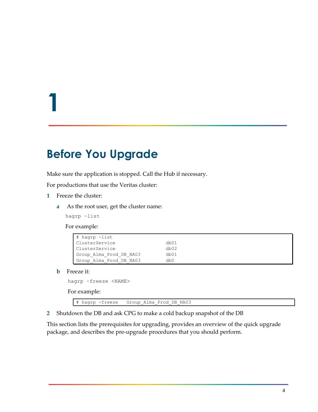# **1**

## <span id="page-3-0"></span>**Before You Upgrade**

Make sure the application is stopped. Call the Hub if necessary.

For productions that use the Veritas cluster:

- **1** Freeze the cluster:
	- **a** As the root user, get the cluster name:

hagrp –list

For example:

| # hagrp -list           |      |  |  |  |
|-------------------------|------|--|--|--|
| ClusterService          | db01 |  |  |  |
| ClusterService          | db02 |  |  |  |
| Group Alma Prod DB NA03 | db01 |  |  |  |
| Group Alma Prod DB NA03 | db0  |  |  |  |

**b** Freeze it:

hagrp –freeze <NAME>

For example:

# hagrp -freeze Group\_Alma\_Prod\_DB\_NA03

**2** Shutdown the DB and ask CPG to make a cold backup snapshot of the DB

This section lists the prerequisites for upgrading, provides an overview of the quick upgrade package, and describes the pre-upgrade procedures that you should perform.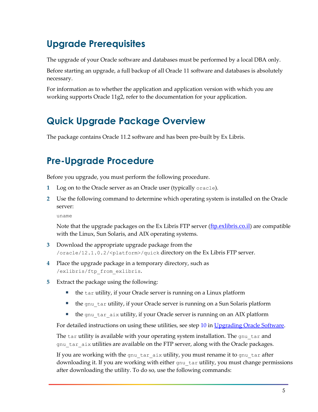## <span id="page-4-0"></span>**Upgrade Prerequisites**

The upgrade of your Oracle software and databases must be performed by a local DBA only.

Before starting an upgrade, a full backup of all Oracle 11 software and databases is absolutely necessary.

For information as to whether the application and application version with which you are working supports Oracle 11g2, refer to the documentation for your application.

## <span id="page-4-1"></span>**Quick Upgrade Package Overview**

<span id="page-4-2"></span>The package contains Oracle 11.2 software and has been pre-built by Ex Libris.

## **Pre-Upgrade Procedure**

Before you upgrade, you must perform the following procedure.

- **1** Log on to the Oracle server as an Oracle user (typically oracle).
- **2** Use the following command to determine which operating system is installed on the Oracle server:

uname

Note that the upgrade packages on the Ex Libris FTP server ([ftp.exlibris.co.il](ftp://ftp.exlibris.co.il/)) are compatible with the Linux, Sun Solaris, and AIX operating systems.

- **3** Download the appropriate upgrade package from the /oracle/12.1.0.2/<platform>/quick directory on the Ex Libris FTP server.
- **4** Place the upgrade package in a temporary directory, such as /exlibris/ftp\_from\_exlibris.
- **5** Extract the package using the following:
	- $\blacksquare$  the tar utility, if your Oracle server is running on a Linux platform
	- the gnu tar utility, if your Oracle server is running on a Sun Solaris platform
	- **the gnu** tar aix utility, if your Oracle server is running on an AIX platform

For detailed instructions on using these utilities, see step [10](#page-7-0) i[n Upgrading Oracle Software.](#page-6-1)

The tar utility is available with your operating system installation. The gnu tar and gnu tar aix utilities are available on the FTP server, along with the Oracle packages.

If you are working with the gnu tar aix utility, you must rename it to gnu tar after downloading it. If you are working with either gnu\_tar utility, you must change permissions after downloading the utility. To do so, use the following commands: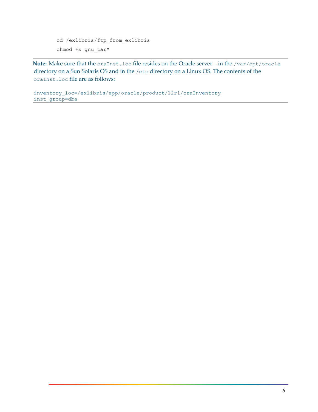```
cd /exlibris/ftp_from_exlibris
chmod +x gnu_tar*
```
Note: Make sure that the oraInst.loc file resides on the Oracle server – in the /var/opt/oracle directory on a Sun Solaris OS and in the /etc directory on a Linux OS. The contents of the oraInst.loc file are as follows:

inventory\_loc=/exlibris/app/oracle/product/12r1/oraInventory inst\_group=dba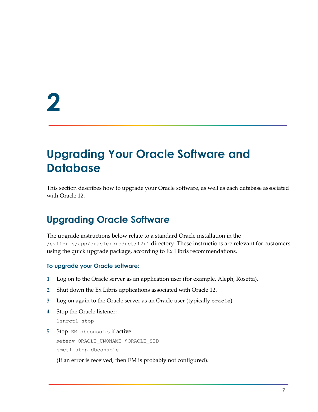## <span id="page-6-0"></span>**Upgrading Your Oracle Software and Database**

This section describes how to upgrade your Oracle software, as well as each database associated with Oracle 12.

### <span id="page-6-1"></span>**Upgrading Oracle Software**

The upgrade instructions below relate to a standard Oracle installation in the /exlibris/app/oracle/product/12r1 directory. These instructions are relevant for customers using the quick upgrade package, according to Ex Libris recommendations.

#### **To upgrade your Oracle software:**

- **1** Log on to the Oracle server as an application user (for example, Aleph, Rosetta).
- **2** Shut down the Ex Libris applications associated with Oracle 12.
- **3** Log on again to the Oracle server as an Oracle user (typically oracle).
- **4** Stop the Oracle listener:

lsnrctl stop

**5** Stop EM dbconsole, if active: setenv ORACLE UNQNAME \$ORACLE SID emctl stop dbconsole

(If an error is received, then EM is probably not configured).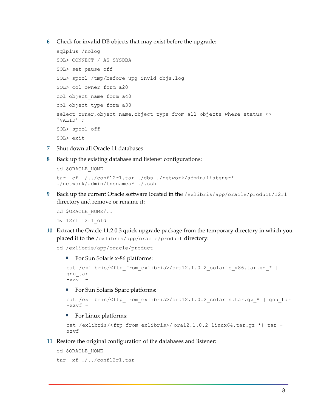**6** Check for invalid DB objects that may exist before the upgrade:

```
sqlplus /nolog
SQL> CONNECT / AS SYSDBA
SQL> set pause off
SQL> spool /tmp/before_upg_invld_objs.log
SQL> col owner form a20
col object_name form a40
col object_type form a30
select owner, object name, object type from all objects where status <>
'VALID' ;
SQL> spool off
SQL> exit
```
- **7** Shut down all Oracle 11 databases.
- **8** Back up the existing database and listener configurations:

```
cd $ORACLE_HOME 
tar -cf ./../conf12r1.tar ./dbs ./network/admin/listener* 
./network/admin/tnsnames* ./.ssh
```
**9** Back up the current Oracle software located in the /exlibris/app/oracle/product/12r1 directory and remove or rename it:

```
cd $ORACLE_HOME/..
```
mv 12r1 12r1\_old

<span id="page-7-0"></span>**10** Extract the Oracle 11.2.0.3 quick upgrade package from the temporary directory in which you placed it to the /exlibris/app/oracle/product directory:

cd /exlibris/app/oracle/product

■ For Sun Solaris x-86 platforms:

```
cat /exlibris/<ftp_from_exlibris>/ora12.1.0.2_solaris_x86.tar.gz_* |
gnu_tar 
-xzvf –
```
For Sun Solaris Sparc platforms:

```
cat /exlibris/<ftp_from_exlibris>/ora12.1.0.2_solaris.tar.gz_* | gnu_tar
-xzvf =
```
■ For Linux platforms:

```
cat /exlibris/<ftp_from_exlibris>/ ora12.1.0.2_linux64.tar.gz_*| tar -
xzvf –
```
**11** Restore the original configuration of the databases and listener:

```
cd $ORACLE_HOME
tar -xf ./../conf12r1.tar
```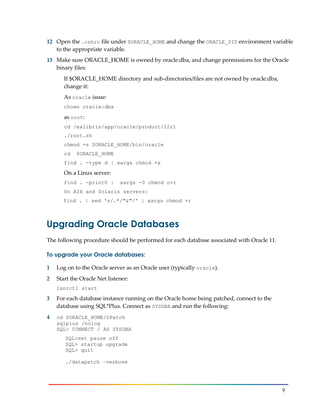- **12** Open the .cshrc file under \$ORACLE\_HOME and change the ORACLE\_SID environment variable to the appropriate variable.
- **13** Make sure ORACLE\_HOME is owned by oracle:dba, and change permissions for the Oracle binary files:

If \$ORACLE\_HOME directory and sub-directories/files are not owned by oracle:dba, change it:

```
As oracle issue:
chown oracle:dba
as root:
cd /exlibris/app/oracle/product/12r1
./root.sh
chmod +s $ORACLE_HOME/bin/oracle
cd $ORACLE_HOME
find . -type d | xargs chmod +x
On a Linux server:
find . -print0 | xargs -0 chmod o+r
On AIX and Solaris servers:
find . | sed 's/.*/"`'''/' | xargs chmod +r
```
#### <span id="page-8-0"></span>**Upgrading Oracle Databases**

The following procedure should be performed for each database associated with Oracle 11.

#### **To upgrade your Oracle databases:**

- **1** Log on to the Oracle server as an Oracle user (typically oracle).
- **2** Start the Oracle Net listener:

lsnrctl start

**3** For each database instance running on the Oracle home being patched, connect to the database using SQL\*Plus. Connect as SYSDBA and run the following:

```
4 cd $ORACLE_HOME/OPatch
   sqlplus /nolog 
   SQL> CONNECT / AS SYSDBA 
      SQL>set pause off
     SQL> startup upgrade 
     SQL> quit
      ./datapatch –verbose
```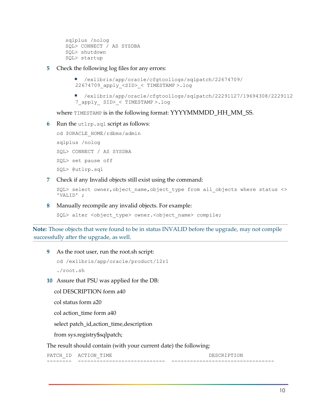```
sqlplus /nolog 
SQL> CONNECT / AS SYSDBA 
SQL> shutdown 
SQL> startup
```
#### **5** Check the following log files for any errors:

```
 /exlibris/app/oracle/cfgtoollogs/sqlpatch/22674709/
22674709_apply_<SID>_< TIMESTAMP >.log
```
 /exlibris/app/oracle/cfgtoollogs/sqlpatch/22291127/19694308/2229112 7\_apply\_ SID>\_< TIMESTAMP >.log

where TIMESTAMP is in the following format: YYYYMMMDD\_HH\_MM\_SS.

#### **6** Run the utlrp.sql script as follows:

```
cd $ORACLE_HOME/rdbms/admin
sqlplus /nolog
SQL> CONNECT / AS SYSDBA
SQL> set pause off
SQL> @utlrp.sql
```
**7** Check if any Invalid objects still exist using the command:

```
SQL> select owner, object name, object type from all objects where status <>
'VALID' ;
```
**8** Manually recompile any invalid objects. For example:

SQL> alter <object type> owner.<object name> compile;

**Note:** Those objects that were found to be in status INVALID before the upgrade, may not compile successfully after the upgrade, as well.

**9** As the root user, run the root.sh script:

```
cd /exlibris/app/oracle/product/12r1
./root.sh
```
**10** Assure that PSU was applied for the DB:

col DESCRIPTION form a40

col status form a20

col action time form a40

select patch\_id,action\_time,description

from sys.registry\$sqlpatch;

The result should contain (with your current date) the following:

PATCH\_ID ACTION\_TIME DESCRIPTION -------- ---------------------------- ---------------------------------